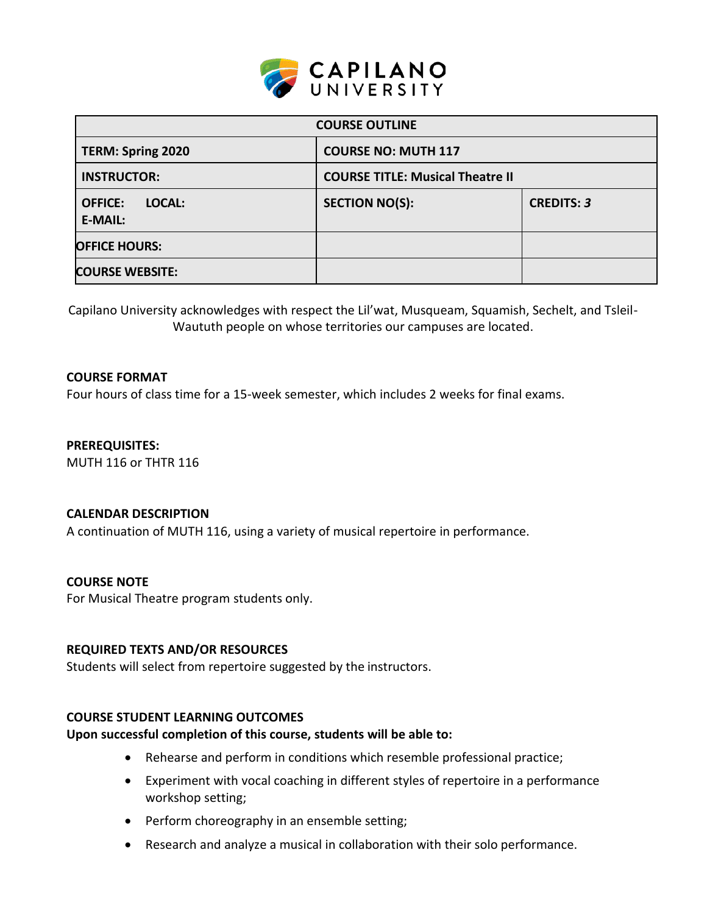

| <b>COURSE OUTLINE</b>                      |                                         |                   |  |  |
|--------------------------------------------|-----------------------------------------|-------------------|--|--|
| <b>TERM: Spring 2020</b>                   | <b>COURSE NO: MUTH 117</b>              |                   |  |  |
| <b>INSTRUCTOR:</b>                         | <b>COURSE TITLE: Musical Theatre II</b> |                   |  |  |
| LOCAL:<br><b>OFFICE:</b><br><b>E-MAIL:</b> | <b>SECTION NO(S):</b>                   | <b>CREDITS: 3</b> |  |  |
| <b>OFFICE HOURS:</b>                       |                                         |                   |  |  |
| <b>COURSE WEBSITE:</b>                     |                                         |                   |  |  |

Capilano University acknowledges with respect the Lil'wat, Musqueam, Squamish, Sechelt, and Tsleil-Waututh people on whose territories our campuses are located.

### **COURSE FORMAT**

Four hours of class time for a 15-week semester, which includes 2 weeks for final exams.

**PREREQUISITES:**  MUTH 116 or THTR 116

#### **CALENDAR DESCRIPTION**

A continuation of MUTH 116, using a variety of musical repertoire in performance.

#### **COURSE NOTE**

For Musical Theatre program students only.

#### **REQUIRED TEXTS AND/OR RESOURCES**

Students will select from repertoire suggested by the instructors.

### **COURSE STUDENT LEARNING OUTCOMES**

#### **Upon successful completion of this course, students will be able to:**

- Rehearse and perform in conditions which resemble professional practice;
- Experiment with vocal coaching in different styles of repertoire in a performance workshop setting;
- Perform choreography in an ensemble setting;
- Research and analyze a musical in collaboration with their solo performance.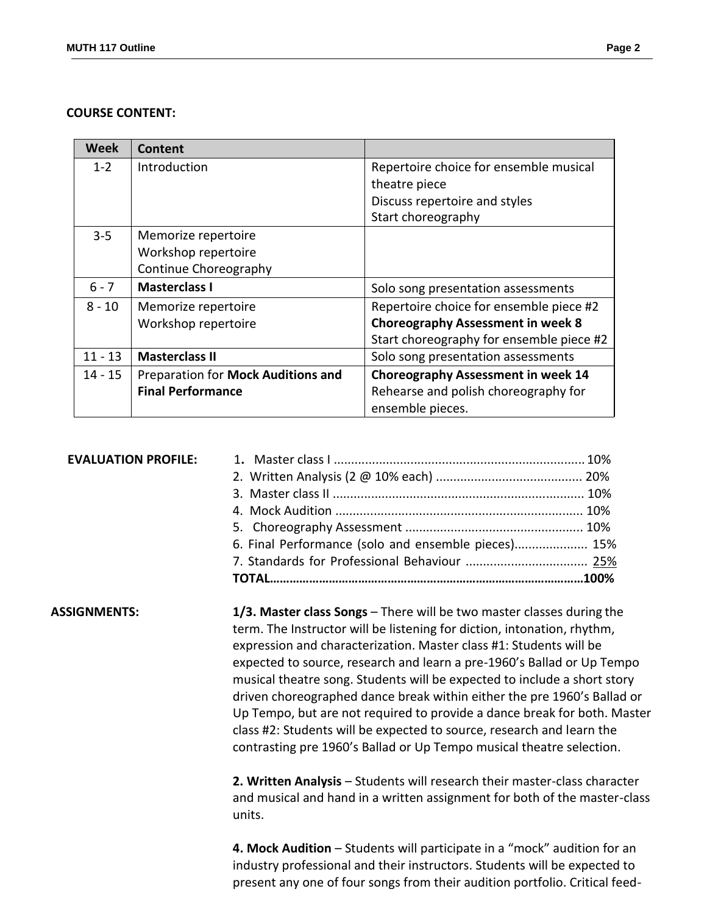#### **COURSE CONTENT:**

| Week      | Content                            |                                           |  |
|-----------|------------------------------------|-------------------------------------------|--|
| $1 - 2$   | Introduction                       | Repertoire choice for ensemble musical    |  |
|           |                                    | theatre piece                             |  |
|           |                                    | Discuss repertoire and styles             |  |
|           |                                    | Start choreography                        |  |
| $3 - 5$   | Memorize repertoire                |                                           |  |
|           | Workshop repertoire                |                                           |  |
|           | Continue Choreography              |                                           |  |
| $6 - 7$   | <b>Masterclass I</b>               | Solo song presentation assessments        |  |
| $8 - 10$  | Memorize repertoire                | Repertoire choice for ensemble piece #2   |  |
|           | Workshop repertoire                | <b>Choreography Assessment in week 8</b>  |  |
|           |                                    | Start choreography for ensemble piece #2  |  |
| $11 - 13$ | <b>Masterclass II</b>              | Solo song presentation assessments        |  |
| 14 - 15   | Preparation for Mock Auditions and | <b>Choreography Assessment in week 14</b> |  |
|           | <b>Final Performance</b>           | Rehearse and polish choreography for      |  |
|           |                                    | ensemble pieces.                          |  |

| <b>EVALUATION PROFILE:</b> |                                                                                                                                                                                                                                                                                                |  |
|----------------------------|------------------------------------------------------------------------------------------------------------------------------------------------------------------------------------------------------------------------------------------------------------------------------------------------|--|
|                            |                                                                                                                                                                                                                                                                                                |  |
|                            |                                                                                                                                                                                                                                                                                                |  |
|                            |                                                                                                                                                                                                                                                                                                |  |
|                            |                                                                                                                                                                                                                                                                                                |  |
|                            | 6. Final Performance (solo and ensemble pieces) 15%                                                                                                                                                                                                                                            |  |
|                            |                                                                                                                                                                                                                                                                                                |  |
|                            |                                                                                                                                                                                                                                                                                                |  |
| ASSIGNMENTS:               | 1/3. Master class Songs - There will be two master classes during the<br>term. The Instructor will be listening for diction, intonation, rhythm,<br>expression and characterization. Master class #1: Students will be<br>expected to source, research and learn a pre-1960's Ballad or Up Tem |  |

expected to source, research and learn a pre-1960's Ballad or Up Tempo musical theatre song. Students will be expected to include a short story driven choreographed dance break within either the pre 1960's Ballad or Up Tempo, but are not required to provide a dance break for both. Master class #2: Students will be expected to source, research and learn the contrasting pre 1960's Ballad or Up Tempo musical theatre selection.

**2. Written Analysis** – Students will research their master-class character and musical and hand in a written assignment for both of the master-class units.

**4. Mock Audition** – Students will participate in a "mock" audition for an industry professional and their instructors. Students will be expected to present any one of four songs from their audition portfolio. Critical feed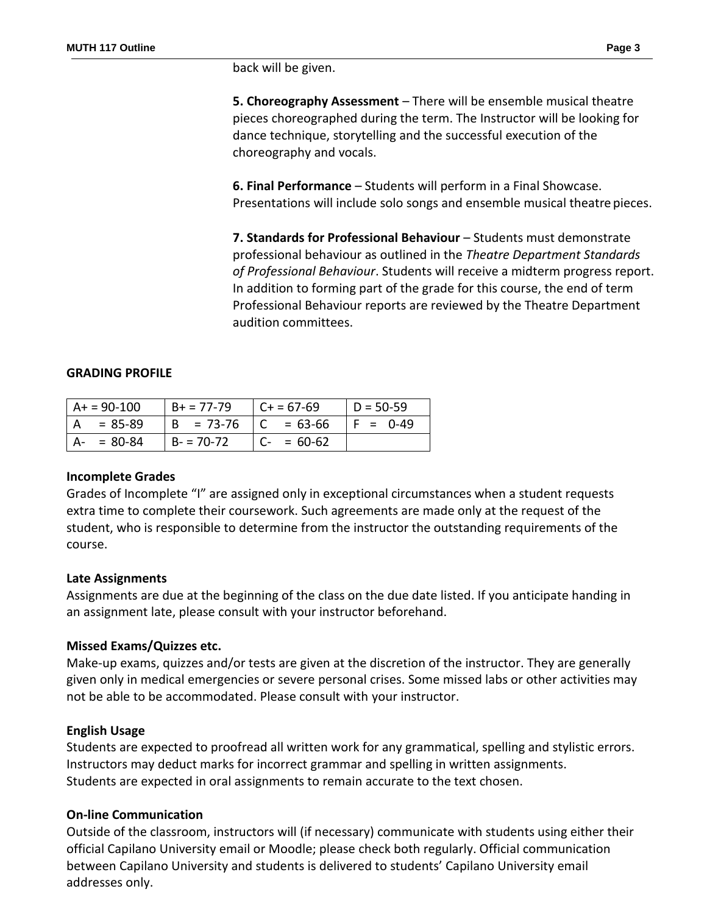back will be given.

**5. Choreography Assessment** – There will be ensemble musical theatre pieces choreographed during the term. The Instructor will be looking for dance technique, storytelling and the successful execution of the choreography and vocals.

**6. Final Performance** – Students will perform in a Final Showcase. Presentations will include solo songs and ensemble musical theatre pieces.

**7. Standards for Professional Behaviour** – Students must demonstrate professional behaviour as outlined in the *Theatre Department Standards of Professional Behaviour*. Students will receive a midterm progress report. In addition to forming part of the grade for this course, the end of term Professional Behaviour reports are reviewed by the Theatre Department audition committees.

### **GRADING PROFILE**

| $A+ = 90-100$ | $B + 77 - 79$             | $C + 57-69$   | $ID = 50-59$ |
|---------------|---------------------------|---------------|--------------|
| = 85-89       | $  B = 73-76   C = 63-66$ |               | IF = 0-49    |
| $A - 80-84$   | $  B - 70 - 72 $          | $ C - 50.62 $ |              |

#### **Incomplete Grades**

Grades of Incomplete "I" are assigned only in exceptional circumstances when a student requests extra time to complete their coursework. Such agreements are made only at the request of the student, who is responsible to determine from the instructor the outstanding requirements of the course.

### **Late Assignments**

Assignments are due at the beginning of the class on the due date listed. If you anticipate handing in an assignment late, please consult with your instructor beforehand.

#### **Missed Exams/Quizzes etc.**

Make-up exams, quizzes and/or tests are given at the discretion of the instructor. They are generally given only in medical emergencies or severe personal crises. Some missed labs or other activities may not be able to be accommodated. Please consult with your instructor.

#### **English Usage**

Students are expected to proofread all written work for any grammatical, spelling and stylistic errors. Instructors may deduct marks for incorrect grammar and spelling in written assignments. Students are expected in oral assignments to remain accurate to the text chosen.

#### **On-line Communication**

Outside of the classroom, instructors will (if necessary) communicate with students using either their official Capilano University email or Moodle; please check both regularly. Official communication between Capilano University and students is delivered to students' Capilano University email addresses only.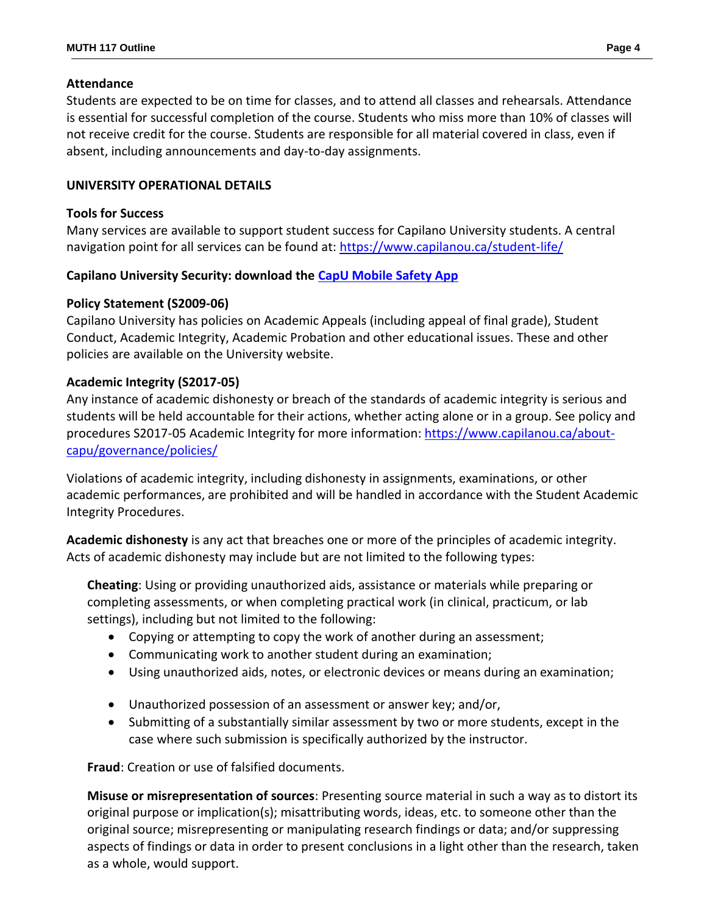### **Attendance**

Students are expected to be on time for classes, and to attend all classes and rehearsals. Attendance is essential for successful completion of the course. Students who miss more than 10% of classes will not receive credit for the course. Students are responsible for all material covered in class, even if absent, including announcements and day-to-day assignments.

### **UNIVERSITY OPERATIONAL DETAILS**

#### **Tools for Success**

Many services are available to support student success for Capilano University students. A central navigation point for all services can be found at:<https://www.capilanou.ca/student-life/>

### **Capilano University Security: download the [CapU Mobile Safety App](https://www.capilanou.ca/student-life/support--wellness/safety--security/capu-safe-app/)**

### **Policy Statement (S2009-06)**

Capilano University has policies on Academic Appeals (including appeal of final grade), Student Conduct, Academic Integrity, Academic Probation and other educational issues. These and other policies are available on the University website.

### **Academic Integrity (S2017-05)**

Any instance of academic dishonesty or breach of the standards of academic integrity is serious and students will be held accountable for their actions, whether acting alone or in a group. See policy and procedures S2017-05 Academic Integrity for more information: [https://www.capilanou.ca/about](https://www.capilanou.ca/about-capu/governance/policies/)[capu/governance/policies/](https://www.capilanou.ca/about-capu/governance/policies/)

Violations of academic integrity, including dishonesty in assignments, examinations, or other academic performances, are prohibited and will be handled in accordance with the Student Academic Integrity Procedures.

**Academic dishonesty** is any act that breaches one or more of the principles of academic integrity. Acts of academic dishonesty may include but are not limited to the following types:

**Cheating**: Using or providing unauthorized aids, assistance or materials while preparing or completing assessments, or when completing practical work (in clinical, practicum, or lab settings), including but not limited to the following:

- Copying or attempting to copy the work of another during an assessment;
- Communicating work to another student during an examination;
- Using unauthorized aids, notes, or electronic devices or means during an examination;
- Unauthorized possession of an assessment or answer key; and/or,
- Submitting of a substantially similar assessment by two or more students, except in the case where such submission is specifically authorized by the instructor.

**Fraud**: Creation or use of falsified documents.

**Misuse or misrepresentation of sources**: Presenting source material in such a way as to distort its original purpose or implication(s); misattributing words, ideas, etc. to someone other than the original source; misrepresenting or manipulating research findings or data; and/or suppressing aspects of findings or data in order to present conclusions in a light other than the research, taken as a whole, would support.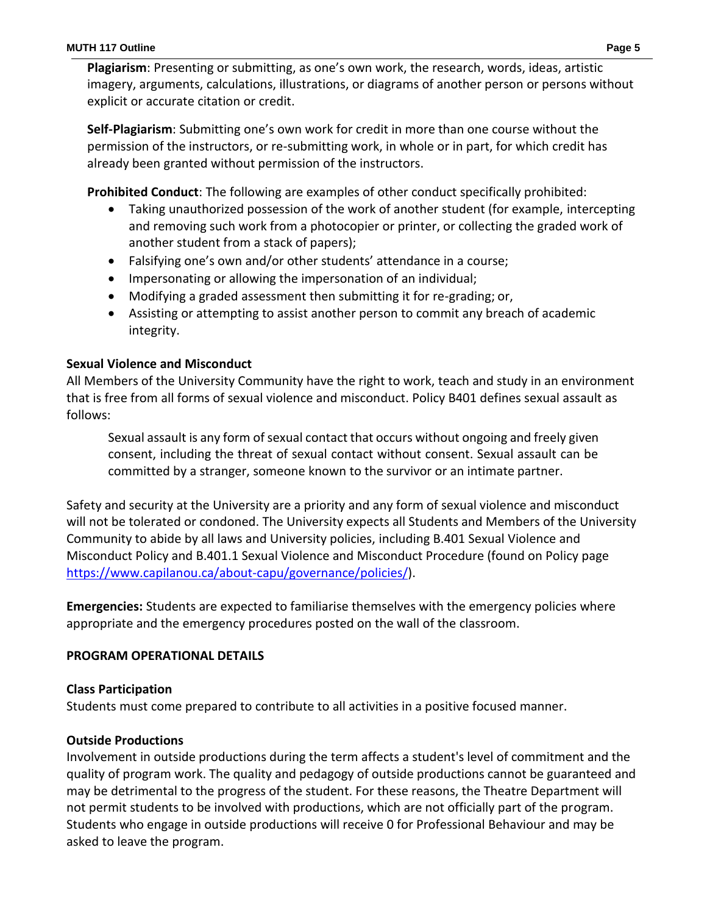**Plagiarism**: Presenting or submitting, as one's own work, the research, words, ideas, artistic imagery, arguments, calculations, illustrations, or diagrams of another person or persons without explicit or accurate citation or credit.

**Self-Plagiarism**: Submitting one's own work for credit in more than one course without the permission of the instructors, or re-submitting work, in whole or in part, for which credit has already been granted without permission of the instructors.

**Prohibited Conduct**: The following are examples of other conduct specifically prohibited:

- Taking unauthorized possession of the work of another student (for example, intercepting and removing such work from a photocopier or printer, or collecting the graded work of another student from a stack of papers);
- Falsifying one's own and/or other students' attendance in a course;
- Impersonating or allowing the impersonation of an individual;
- Modifying a graded assessment then submitting it for re-grading; or,
- Assisting or attempting to assist another person to commit any breach of academic integrity.

### **Sexual Violence and Misconduct**

All Members of the University Community have the right to work, teach and study in an environment that is free from all forms of sexual violence and misconduct. Policy B401 defines sexual assault as follows:

Sexual assault is any form of sexual contact that occurs without ongoing and freely given consent, including the threat of sexual contact without consent. Sexual assault can be committed by a stranger, someone known to the survivor or an intimate partner.

Safety and security at the University are a priority and any form of sexual violence and misconduct will not be tolerated or condoned. The University expects all Students and Members of the University Community to abide by all laws and University policies, including B.401 Sexual Violence and Misconduct Policy and B.401.1 Sexual Violence and Misconduct Procedure (found on Policy page [https://www.capilanou.ca/about-capu/governance/policies/\)](https://www.capilanou.ca/about-capu/governance/policies/).

**Emergencies:** Students are expected to familiarise themselves with the emergency policies where appropriate and the emergency procedures posted on the wall of the classroom.

### **PROGRAM OPERATIONAL DETAILS**

### **Class Participation**

Students must come prepared to contribute to all activities in a positive focused manner.

# **Outside Productions**

Involvement in outside productions during the term affects a student's level of commitment and the quality of program work. The quality and pedagogy of outside productions cannot be guaranteed and may be detrimental to the progress of the student. For these reasons, the Theatre Department will not permit students to be involved with productions, which are not officially part of the program. Students who engage in outside productions will receive 0 for Professional Behaviour and may be asked to leave the program.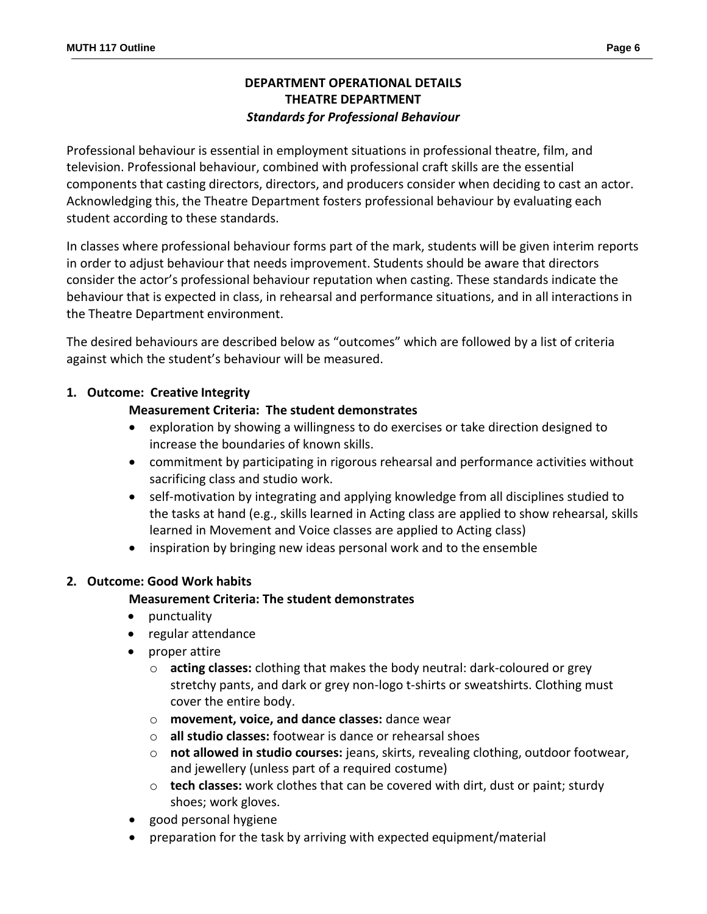# **DEPARTMENT OPERATIONAL DETAILS THEATRE DEPARTMENT** *Standards for Professional Behaviour*

Professional behaviour is essential in employment situations in professional theatre, film, and television. Professional behaviour, combined with professional craft skills are the essential components that casting directors, directors, and producers consider when deciding to cast an actor. Acknowledging this, the Theatre Department fosters professional behaviour by evaluating each student according to these standards.

In classes where professional behaviour forms part of the mark, students will be given interim reports in order to adjust behaviour that needs improvement. Students should be aware that directors consider the actor's professional behaviour reputation when casting. These standards indicate the behaviour that is expected in class, in rehearsal and performance situations, and in all interactions in the Theatre Department environment.

The desired behaviours are described below as "outcomes" which are followed by a list of criteria against which the student's behaviour will be measured.

### **1. Outcome: Creative Integrity**

### **Measurement Criteria: The student demonstrates**

- exploration by showing a willingness to do exercises or take direction designed to increase the boundaries of known skills.
- commitment by participating in rigorous rehearsal and performance activities without sacrificing class and studio work.
- self-motivation by integrating and applying knowledge from all disciplines studied to the tasks at hand (e.g., skills learned in Acting class are applied to show rehearsal, skills learned in Movement and Voice classes are applied to Acting class)
- inspiration by bringing new ideas personal work and to the ensemble

### **2. Outcome: Good Work habits**

### **Measurement Criteria: The student demonstrates**

- punctuality
- regular attendance
- proper attire
	- o **acting classes:** clothing that makes the body neutral: dark-coloured or grey stretchy pants, and dark or grey non-logo t-shirts or sweatshirts. Clothing must cover the entire body.
	- o **movement, voice, and dance classes:** dance wear
	- o **all studio classes:** footwear is dance or rehearsal shoes
	- o **not allowed in studio courses:** jeans, skirts, revealing clothing, outdoor footwear, and jewellery (unless part of a required costume)
	- o **tech classes:** work clothes that can be covered with dirt, dust or paint; sturdy shoes; work gloves.
- good personal hygiene
- preparation for the task by arriving with expected equipment/material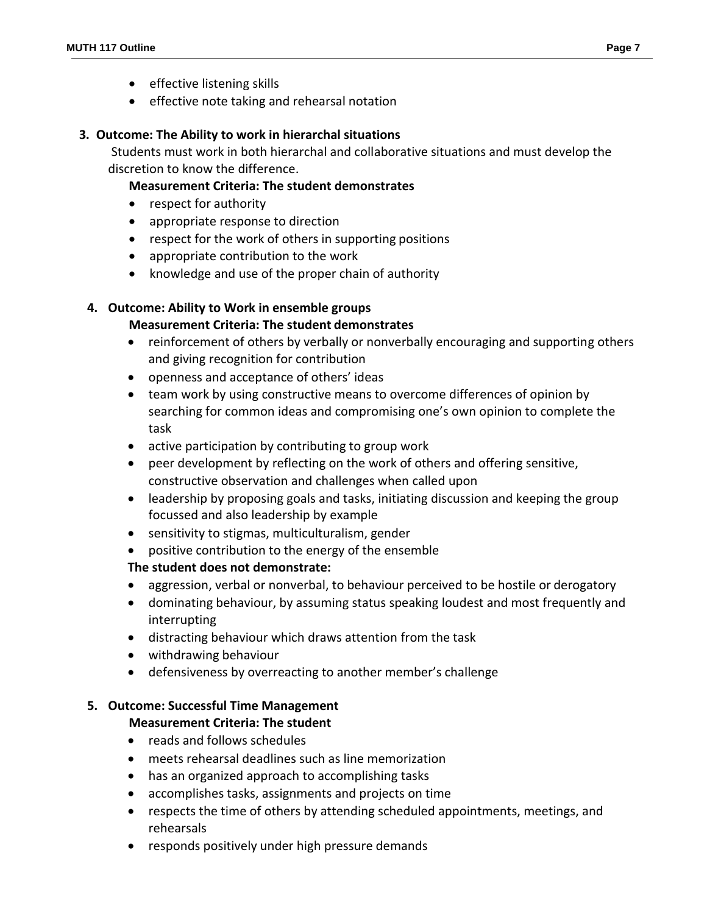- effective listening skills
- **•** effective note taking and rehearsal notation

### **3. Outcome: The Ability to work in hierarchal situations**

Students must work in both hierarchal and collaborative situations and must develop the discretion to know the difference.

# **Measurement Criteria: The student demonstrates**

- respect for authority
- appropriate response to direction
- respect for the work of others in supporting positions
- appropriate contribution to the work
- knowledge and use of the proper chain of authority

# **4. Outcome: Ability to Work in ensemble groups**

# **Measurement Criteria: The student demonstrates**

- reinforcement of others by verbally or nonverbally encouraging and supporting others and giving recognition for contribution
- openness and acceptance of others' ideas
- team work by using constructive means to overcome differences of opinion by searching for common ideas and compromising one's own opinion to complete the task
- active participation by contributing to group work
- peer development by reflecting on the work of others and offering sensitive, constructive observation and challenges when called upon
- leadership by proposing goals and tasks, initiating discussion and keeping the group focussed and also leadership by example
- sensitivity to stigmas, multiculturalism, gender
- positive contribution to the energy of the ensemble

# **The student does not demonstrate:**

- aggression, verbal or nonverbal, to behaviour perceived to be hostile or derogatory
- dominating behaviour, by assuming status speaking loudest and most frequently and interrupting
- distracting behaviour which draws attention from the task
- withdrawing behaviour
- defensiveness by overreacting to another member's challenge

# **5. Outcome: Successful Time Management**

# **Measurement Criteria: The student**

- reads and follows schedules
- meets rehearsal deadlines such as line memorization
- has an organized approach to accomplishing tasks
- accomplishes tasks, assignments and projects on time
- respects the time of others by attending scheduled appointments, meetings, and rehearsals
- responds positively under high pressure demands